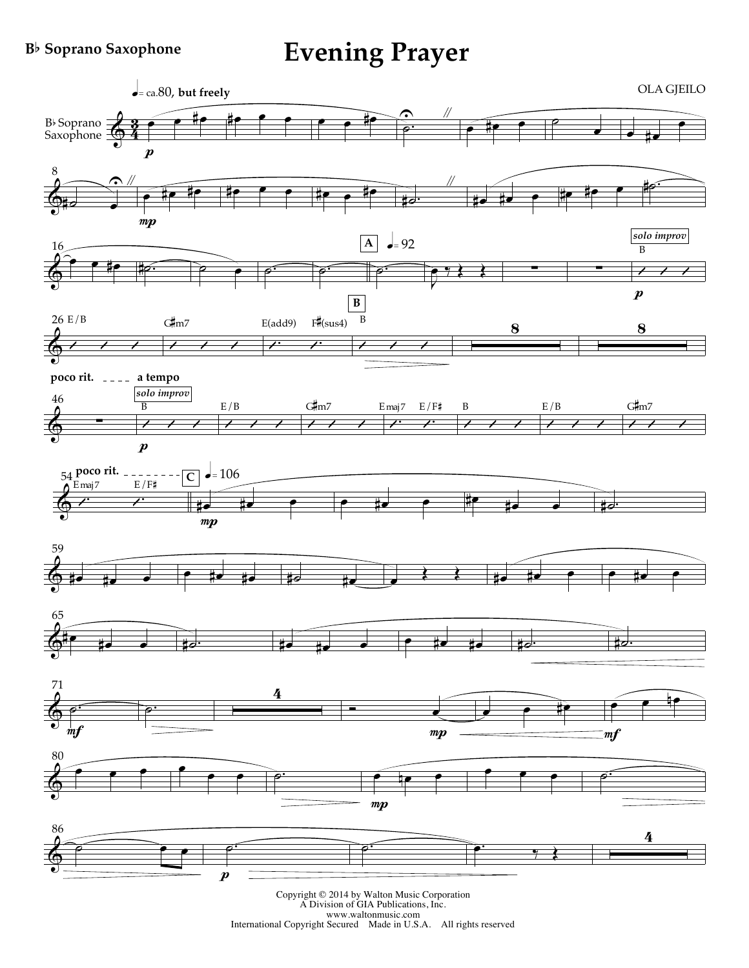## **B**b **Soprano Saxophone**

## **Evening Prayer**